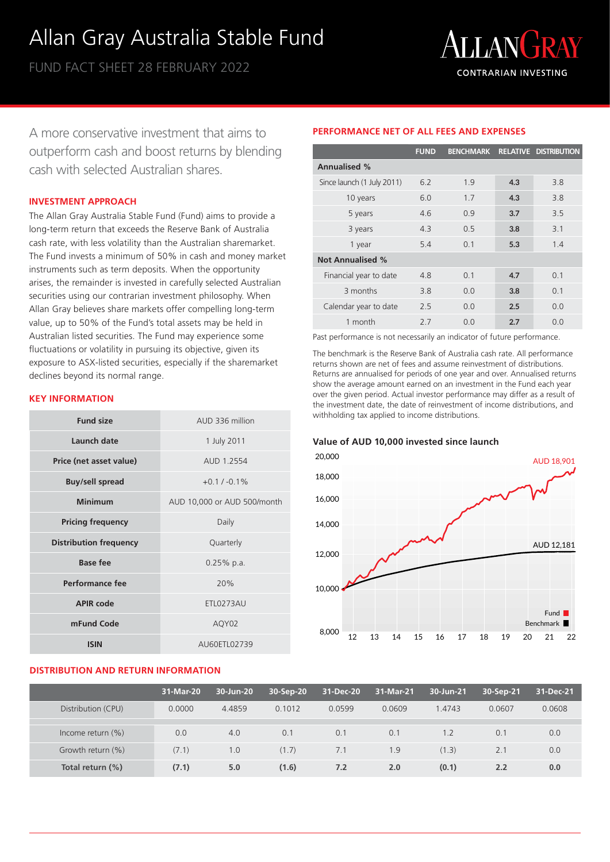# Allan Gray Australia Stable Fund

FUND FACT SHEET 28 FEBRUARY 2022



A more conservative investment that aims to outperform cash and boost returns by blending cash with selected Australian shares.

#### **INVESTMENT APPROACH**

The Allan Gray Australia Stable Fund (Fund) aims to provide a long-term return that exceeds the Reserve Bank of Australia cash rate, with less volatility than the Australian sharemarket. The Fund invests a minimum of 50% in cash and money market instruments such as term deposits. When the opportunity arises, the remainder is invested in carefully selected Australian securities using our contrarian investment philosophy. When Allan Gray believes share markets offer compelling long-term value, up to 50% of the Fund's total assets may be held in Australian listed securities. The Fund may experience some fluctuations or volatility in pursuing its objective, given its exposure to ASX-listed securities, especially if the sharemarket declines beyond its normal range.

## **KEY INFORMATION**

| <b>Fund size</b>              | AUD 336 million             |  |  |
|-------------------------------|-----------------------------|--|--|
| <b>Launch date</b>            | 1 July 2011                 |  |  |
| Price (net asset value)       | AUD 1.2554                  |  |  |
| <b>Buy/sell spread</b>        | $+0.1 / -0.1\%$             |  |  |
| <b>Minimum</b>                | AUD 10,000 or AUD 500/month |  |  |
| <b>Pricing frequency</b>      | Daily                       |  |  |
| <b>Distribution frequency</b> | Quarterly                   |  |  |
| Base fee                      | $0.25%$ p.a.                |  |  |
| Performance fee               | 20%                         |  |  |
| <b>APIR code</b>              | ETL0273AU                   |  |  |
| mFund Code                    | AQY02                       |  |  |
| <b>ISIN</b>                   | AU60ETL02739                |  |  |

## **DISTRIBUTION AND RETURN INFORMATION**

# **PERFORMANCE NET OF ALL FEES AND EXPENSES**

|                            | <b>FUND</b> |                |     | BENCHMARK RELATIVE DISTRIBUTION |
|----------------------------|-------------|----------------|-----|---------------------------------|
| <b>Annualised %</b>        |             |                |     |                                 |
| Since launch (1 July 2011) | 62          | 19             | 4.3 | 3.8                             |
| 10 years                   | 6.0         | 1.7            | 4.3 | 3.8                             |
| 5 years                    | 4.6         | 0.9            | 3.7 | 3.5                             |
| 3 years                    | 4.3         | 0.5            | 3.8 | 3.1                             |
| 1 year                     | 5.4         | 0 <sub>1</sub> | 5.3 | 1.4                             |
| <b>Not Annualised %</b>    |             |                |     |                                 |
| Financial year to date     | 4.8         | 0.1            | 4.7 | 0.1                             |
| 3 months                   | 3.8         | 0.0            | 3.8 | 0.1                             |
| Calendar year to date      | 2.5         | 0.0            | 2.5 | 0.0                             |
| 1 month                    | 27          | 0 O            | 2.7 | 0 Q                             |

Past performance is not necessarily an indicator of future performance.

The benchmark is the Reserve Bank of Australia cash rate. All performance returns shown are net of fees and assume reinvestment of distributions. Returns are annualised for periods of one year and over. Annualised returns show the average amount earned on an investment in the Fund each year over the given period. Actual investor performance may differ as a result of the investment date, the date of reinvestment of income distributions, and withholding tax applied to income distributions.

#### **Value of AUD 10,000 invested since launch**



|                      | 31-Mar-20 | 30-Jun-20 | 30-Sep-20 | 31-Dec-20 | 31-Mar-21 | 30-Jun-21 | 30-Sep-21 | 31-Dec-21 |
|----------------------|-----------|-----------|-----------|-----------|-----------|-----------|-----------|-----------|
| Distribution (CPU)   | 0.0000    | 4.4859    | 0.1012    | 0.0599    | 0.0609    | 1.4743    | 0.0607    | 0.0608    |
|                      |           |           |           |           |           |           |           |           |
| Income return $(\%)$ | 0.0       | 4.0       | 0.1       | 0.1       | 0.1       | 1.2       | 0.1       | 0.0       |
| Growth return (%)    | (7.1)     | 1.0       | (1.7)     | 7.1       | 1.9       | (1.3)     | 2.1       | 0.0       |
| Total return (%)     | (7.1)     | 5.0       | (1.6)     | 7.2       | 2.0       | (0.1)     | 2.2       | 0.0       |